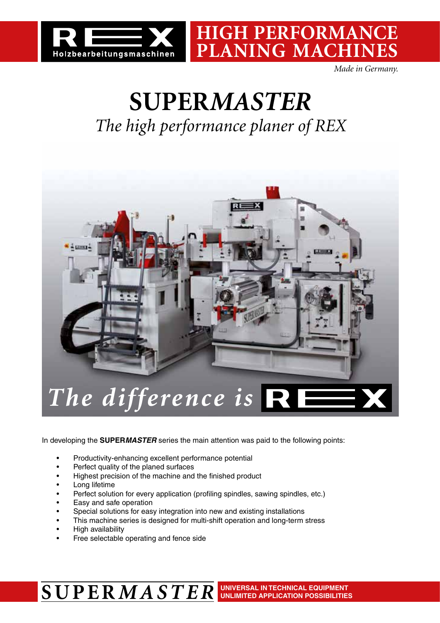

*Made in Germany.*

**High performance**

**planing machines**

## **SUPER***MASTER The high performance planer of REX*

 $R = 2$ *The difference is* 

In developing the **SUPER***MASTER* series the main attention was paid to the following points:

- Productivity-enhancing excellent performance potential
- Perfect quality of the planed surfaces
- Highest precision of the machine and the finished product
- Long lifetime
- Perfect solution for every application (profiling spindles, sawing spindles, etc.)
- Easy and safe operation
- Special solutions for easy integration into new and existing installations
- This machine series is designed for multi-shift operation and long-term stress
- **High availability**
- Free selectable operating and fence side

### **SUPER***MASTER* **Universal in technical equipment Unlimited application possibilities**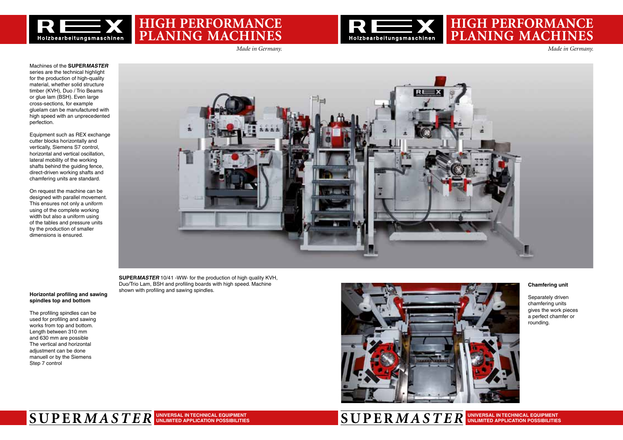

### **Hig h perfo rmanc PLANING MACHIN**



**Unlimited application possibilities**

## **HIGH PERFORMANC PLANING MACHIN**

Machines of the **SUPER***MASTER* series are the technical highlight for the production of high-quality material, whether solid structure timber (KVH), Duo / Trio Beams or glue lam (BSH). Even large cross-sections, for example gluelam can be manufactured with high speed with an unprecedented perfection.

Equipment such as REX exchange cutter blocks horizontally and vertically, Siemens S7 control, horizontal and vertical oscillation, lateral mobility of the working shafts behind the guiding fence, direct-driven working shafts and chamfering units are standard.

On request the machine can be designed with parallel movement. This ensures not only a uniform using of the complete working width but also a uniform using of the tables and pressure units by the production of smaller dimensions is ensured.



**SUPER***MASTER* 10/41 -WW- for the production of high quality KVH, Duo/Trio Lam, BSH and profiling boards with high speed. Machine shown with profiling and sawing spindles. **Horizontal profiling and sawing** 



### **spindles top and bottom**

The profiling spindles can be used for profiling and sawing works from top and bottom. Length between 310 mm and 630 mm are possible The vertical and horizontal adjustment can be done manuell or by the Siemens Step 7 control

## $\textbf{SUPER}$  *MASTER* UNIVERSAL INTEGHNICAL EQUIPMENT SERIES SERIES SERIES SERIES SUPERMASTER

#### **Chamfering unit**

Separately driven chamfering units gives the work pieces a perfect chamfer or rounding.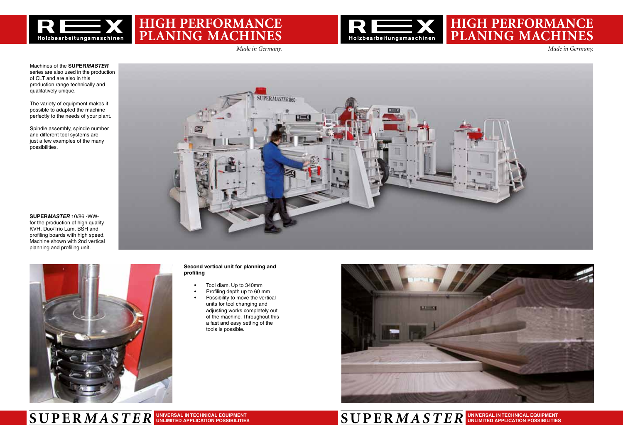### **High performance PLANING MACHIN**



### **High performance PLANING MACHIN**



### **SUPER***MASTER* **SUPER***MASTER* **Universal in technical equipment Unlimited application possibilities**

#### **Universal in technical equipment Unlimited application possibilities**

Machines of the **SUPER***MASTER* series are also used in the production of CLT and are also in this production range technically and qualitatively unique.

The variety of equipment makes it possible to adapted the machine perfectly to the needs of your plant.

Spindle assembly, spindle number and different tool systems are just a few examples of the many possibilities.

#### **Second vertical unit for planning and profiling**

- • Tool diam. Up to 340mm
- Profiling depth up to 60 mm
- Possibility to move the vertical units for tool changing and adjusting works completely out of the machine. Throughout this a fast and easy setting of the tools is possible.



**SUPER***MASTER* 10/86 -WWfor the production of high quality KVH, Duo/Trio Lam, BSH and profiling boards with high speed. Machine shown with 2nd vertical planning and profiling unit.



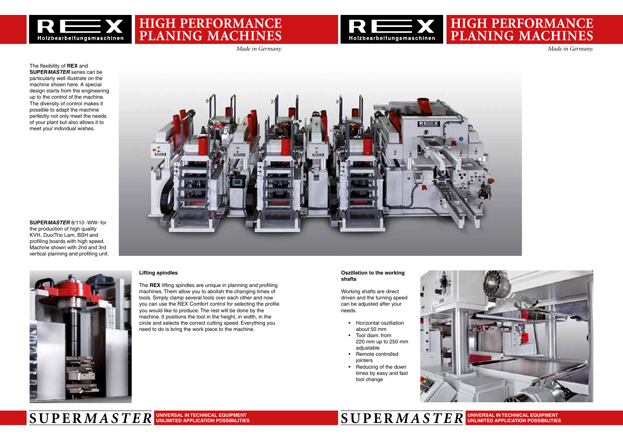### **High performance PLANING MACHIN**





### **High performance PLANING MACHIN**



### **SUPER***MASTER* **SUPER***MASTER* **Universal in technical equipment Unlimited application possibilities**

#### **Universal in technical equipment Unlimited application possibilities**

#### **Oszillation to the working shafts**

Working shafts are direct driven and the turning speed can be adjusted after your needs.

- Horizontal oszillation about 50 mm
- Tool diam. from 220 mm up to 250 mm adiustable
- Remote controlled jointers
- Reducing of the down times by easy and fast tool change



The flexibility of **REX** and **SUPER***MASTER* series can be particularly well illustrate on the machine shown here. A special design starts from the engineering up to the control of the machine. The diversity of control makes it possible to adapt the machine perfectly not only meet the needs of your plant but also allows it to meet your individual wishes.

### **Lifting spindles**

The **REX** lifting spindles are unique in planning and profiling machines. Them allow you to abolish the changing times of tools. Simply clamp several tools over each other and now you can use the REX Comfort control for selecting the profile you would like to produce. The rest will be done by the machine. It positions the tool in the height, in width, in the circle and selects the correct cutting speed. Everything you need to do is bring the work piece to the machine.

**SUPER***MASTER* 8/110 -WW- for the production of high quality KVH, Duo/Trio Lam, BSH and profiling boards with high speed. Machine shown with 2nd and 3rd

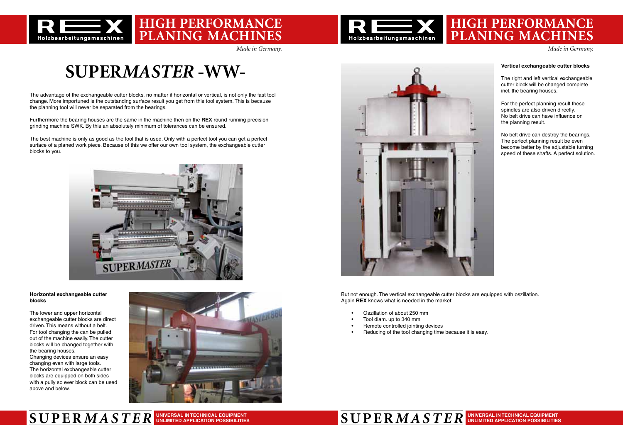



## **High performance PLANING MACHIN**

**High performance**

**planing machines**

### **SUPER***MASTER* **SUPER***MASTER* **Universal in technical equipment Unlimited application possibilities**

# **SUPER***MASTER* **-WW-**

The advantage of the exchangeable cutter blocks, no matter if horizontal or vertical, is not only the fast tool change. More importuned is the outstanding surface result you get from this tool system. This is because the planning tool will never be separated from the bearings.

The lower and upper horizontal exchangeable cutter blocks are direct driven. This means without a belt. For tool changing the can be pulled out of the machine easily. The cutter blocks will be changed together with the bearing houses. Changing devices ensure an easy changing even with large tools. The horizontal exchangeable cutter blocks are equipped on both sides with a pully so ever block can be used

Furthermore the bearing houses are the same in the machine then on the **REX** round running precision grinding machine SWK. By this an absolutely minimum of tolerances can be ensured.

The best machine is only as good as the tool that is used. Only with a perfect tool you can get a perfect surface of a planed work piece. Because of this we offer our own tool system, the exchangeable cutter blocks to you.



#### **Horizontal exchangeable cutter blocks**

above and below.





#### **Vertical exchangeable cutter blocks**

The right and left vertical exchangeable cutter block will be changed complete incl. the bearing houses.

For the perfect planning result these spindles are also driven directly. No belt drive can have influence on the planning result.

No belt drive can destroy the bearings. The perfect planning result be even become better by the adjustable turning speed of these shafts. A perfect solution.

But not enough. The vertical exchangeable cutter blocks are equipped with oszillation. Again **REX** knows what is needed in the market:

- Oszillation of about 250 mm
- Tool diam, up to 340 mm
- Remote controlled jointing devices
- Reducing of the tool changing time because it is easy.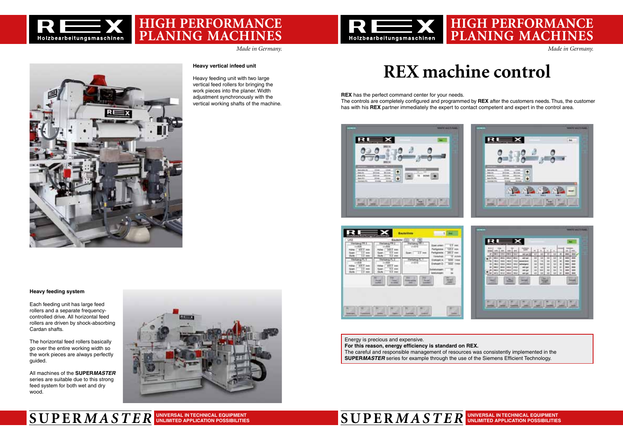### **High performance PLANING MACHIN**







### **High performance PLANING MACHIN**





#### **SUPER***MASTER* **SUPER***MASTER* **Universal in technical equipment Unlimited application possibilities**

**Universal in technical equipment Unlimited application possibilities**

#### **Heavy feeding system**

Each feeding unit has large feed rollers and a separate frequencycontrolled drive. All horizontal feed rollers are driven by shock-absorbing Cardan shafts.

The horizontal feed rollers basically go over the entire working width so the work pieces are always perfectly guided.

All machines of the **SUPER***MASTER* series are suitable due to this strong feed system for both wet and dry wood.



#### **Heavy vertical infeed unit**

Heavy feeding unit with two large vertical feed rollers for bringing the work pieces into the planer. Width adjustment synchronously with the vertical working shafts of the machine.

# **REX machine control**

**REX** has the perfect command center for your needs. The controls are completely configured and programmed by **REX** after the customers needs.Thus, the customer has with his **REX** partner immediately the expert to contact competent and expert in the control area.





Energy is precious and expensive. **For this reason, energy efficiency is standard on REX.**  The careful and responsible management of resources was consistently implemented in the **SUPER***MASTER* series for example through the use of the Siemens Efficient Technology.